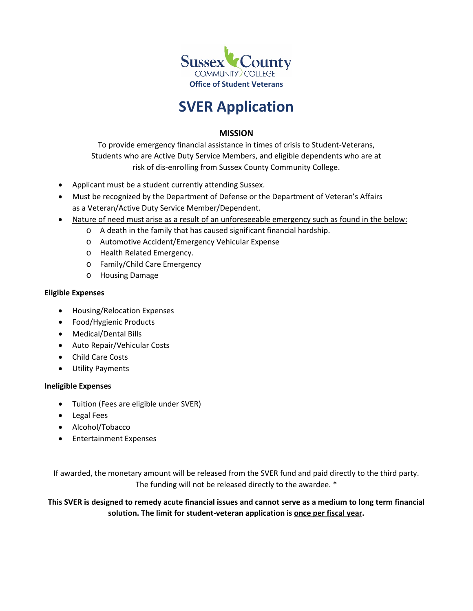

# **SVER Application**

### **MISSION**

To provide emergency financial assistance in times of crisis to Student-Veterans, Students who are Active Duty Service Members, and eligible dependents who are at risk of dis-enrolling from Sussex County Community College.

- Applicant must be a student currently attending Sussex.
- Must be recognized by the Department of Defense or the Department of Veteran's Affairs as a Veteran/Active Duty Service Member/Dependent.
- Nature of need must arise as a result of an unforeseeable emergency such as found in the below:
	- o A death in the family that has caused significant financial hardship.
	- o Automotive Accident/Emergency Vehicular Expense
	- o Health Related Emergency.
	- o Family/Child Care Emergency
	- o Housing Damage

#### **Eligible Expenses**

- Housing/Relocation Expenses
- Food/Hygienic Products
- Medical/Dental Bills
- Auto Repair/Vehicular Costs
- Child Care Costs
- Utility Payments

#### **Ineligible Expenses**

- Tuition (Fees are eligible under SVER)
- Legal Fees
- Alcohol/Tobacco
- Entertainment Expenses

If awarded, the monetary amount will be released from the SVER fund and paid directly to the third party. The funding will not be released directly to the awardee. \*

**This SVER is designed to remedy acute financial issues and cannot serve as a medium to long term financial solution. The limit for student-veteran application is once per fiscal year.**